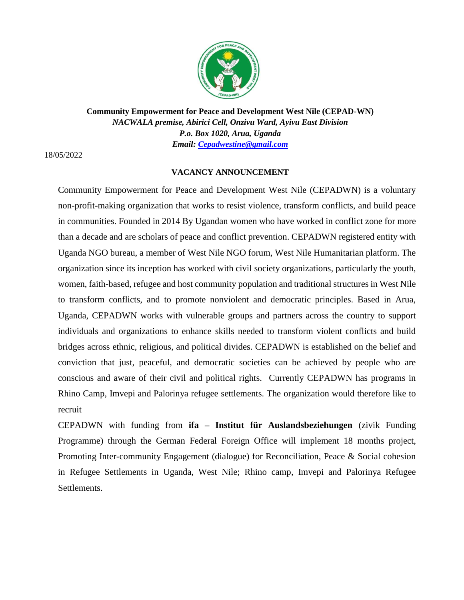

**Community Empowerment for Peace and Development West Nile (CEPAD-WN)** *NACWALA premise, Abirici Cell, Onzivu Ward, Ayivu East Division P.o. Box 1020, Arua, Uganda Email: Cepadwestine@gmail.com*

18/05/2022

## **VACANCY ANNOUNCEMENT**

Community Empowerment for Peace and Development West Nile (CEPADWN) is a voluntary non-profit-making organization that works to resist violence, transform conflicts, and build peace in communities. Founded in 2014 By Ugandan women who have worked in conflict zone for more than a decade and are scholars of peace and conflict prevention. CEPADWN registered entity with Uganda NGO bureau, a member of West Nile NGO forum, West Nile Humanitarian platform. The organization since its inception has worked with civil society organizations, particularly the youth, women, faith-based, refugee and host community population and traditional structures in West Nile to transform conflicts, and to promote nonviolent and democratic principles. Based in Arua, Uganda, CEPADWN works with vulnerable groups and partners across the country to support individuals and organizations to enhance skills needed to transform violent conflicts and build bridges across ethnic, religious, and political divides. CEPADWN is established on the belief and conviction that just, peaceful, and democratic societies can be achieved by people who are conscious and aware of their civil and political rights. Currently CEPADWN has programs in Rhino Camp, Imvepi and Palorinya refugee settlements. The organization would therefore like to recruit

CEPADWN with funding from **ifa – Institut für Auslandsbeziehungen** (zivik Funding Programme) through the German Federal Foreign Office will implement 18 months project, Promoting Inter-community Engagement (dialogue) for Reconciliation, Peace & Social cohesion in Refugee Settlements in Uganda, West Nile; Rhino camp, Imvepi and Palorinya Refugee Settlements.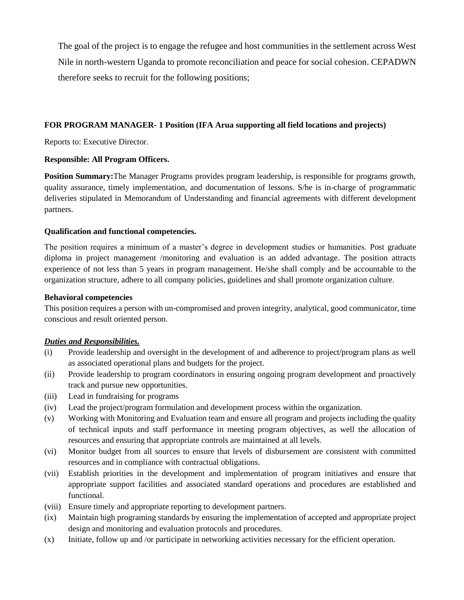The goal of the project is to engage the refugee and host communities in the settlement across West Nile in north-western Uganda to promote reconciliation and peace for social cohesion. CEPADWN therefore seeks to recruit for the following positions;

## **FOR PROGRAM MANAGER- 1 Position (IFA Arua supporting all field locations and projects)**

Reports to: Executive Director.

#### **Responsible: All Program Officers.**

**Position Summary:**The Manager Programs provides program leadership, is responsible for programs growth, quality assurance, timely implementation, and documentation of lessons. S/he is in-charge of programmatic deliveries stipulated in Memorandum of Understanding and financial agreements with different development partners.

#### **Qualification and functional competencies.**

The position requires a minimum of a master's degree in development studies or humanities. Post graduate diploma in project management /monitoring and evaluation is an added advantage. The position attracts experience of not less than 5 years in program management. He/she shall comply and be accountable to the organization structure, adhere to all company policies, guidelines and shall promote organization culture.

#### **Behavioral competencies**

This position requires a person with un-compromised and proven integrity, analytical, good communicator, time conscious and result oriented person.

#### *Duties and Responsibilities.*

- (i) Provide leadership and oversight in the development of and adherence to project/program plans as well as associated operational plans and budgets for the project.
- (ii) Provide leadership to program coordinators in ensuring ongoing program development and proactively track and pursue new opportunities.
- (iii) Lead in fundraising for programs
- (iv) Lead the project/program formulation and development process within the organization.
- (v) Working with Monitoring and Evaluation team and ensure all program and projects including the quality of technical inputs and staff performance in meeting program objectives, as well the allocation of resources and ensuring that appropriate controls are maintained at all levels.
- (vi) Monitor budget from all sources to ensure that levels of disbursement are consistent with committed resources and in compliance with contractual obligations.
- (vii) Establish priorities in the development and implementation of program initiatives and ensure that appropriate support facilities and associated standard operations and procedures are established and functional.
- (viii) Ensure timely and appropriate reporting to development partners.
- (ix) Maintain high programing standards by ensuring the implementation of accepted and appropriate project design and monitoring and evaluation protocols and procedures.
- (x) Initiate, follow up and /or participate in networking activities necessary for the efficient operation.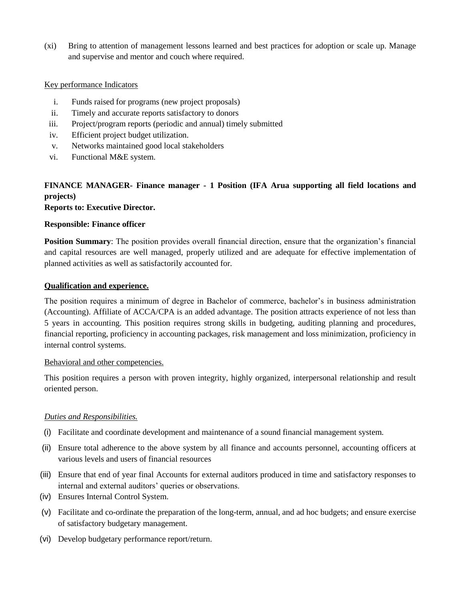(xi) Bring to attention of management lessons learned and best practices for adoption or scale up. Manage and supervise and mentor and couch where required.

#### Key performance Indicators

- i. Funds raised for programs (new project proposals)
- ii. Timely and accurate reports satisfactory to donors
- iii. Project/program reports (periodic and annual) timely submitted
- iv. Efficient project budget utilization.
- v. Networks maintained good local stakeholders
- vi. Functional M&E system.

# **FINANCE MANAGER- Finance manager - 1 Position (IFA Arua supporting all field locations and projects)**

## **Reports to: Executive Director.**

#### **Responsible: Finance officer**

**Position Summary**: The position provides overall financial direction, ensure that the organization's financial and capital resources are well managed, properly utilized and are adequate for effective implementation of planned activities as well as satisfactorily accounted for.

#### **Qualification and experience.**

The position requires a minimum of degree in Bachelor of commerce, bachelor's in business administration (Accounting). Affiliate of ACCA/CPA is an added advantage. The position attracts experience of not less than 5 years in accounting. This position requires strong skills in budgeting, auditing planning and procedures, financial reporting, proficiency in accounting packages, risk management and loss minimization, proficiency in internal control systems.

#### Behavioral and other competencies.

This position requires a person with proven integrity, highly organized, interpersonal relationship and result oriented person.

#### *Duties and Responsibilities.*

- (i) Facilitate and coordinate development and maintenance of a sound financial management system.
- (ii) Ensure total adherence to the above system by all finance and accounts personnel, accounting officers at various levels and users of financial resources
- (iii) Ensure that end of year final Accounts for external auditors produced in time and satisfactory responses to internal and external auditors' queries or observations.
- (iv) Ensures Internal Control System.
- (v) Facilitate and co-ordinate the preparation of the long-term, annual, and ad hoc budgets; and ensure exercise of satisfactory budgetary management.
- (vi) Develop budgetary performance report/return.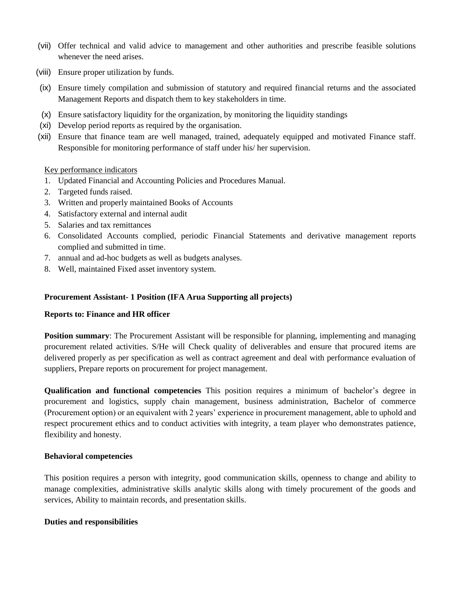- (vii) Offer technical and valid advice to management and other authorities and prescribe feasible solutions whenever the need arises.
- (viii) Ensure proper utilization by funds.
- (ix) Ensure timely compilation and submission of statutory and required financial returns and the associated Management Reports and dispatch them to key stakeholders in time.
- (x) Ensure satisfactory liquidity for the organization, by monitoring the liquidity standings
- (xi) Develop period reports as required by the organisation.
- (xii) Ensure that finance team are well managed, trained, adequately equipped and motivated Finance staff. Responsible for monitoring performance of staff under his/ her supervision.

#### Key performance indicators

- 1. Updated Financial and Accounting Policies and Procedures Manual.
- 2. Targeted funds raised.
- 3. Written and properly maintained Books of Accounts
- 4. Satisfactory external and internal audit
- 5. Salaries and tax remittances
- 6. Consolidated Accounts complied, periodic Financial Statements and derivative management reports complied and submitted in time.
- 7. annual and ad-hoc budgets as well as budgets analyses.
- 8. Well, maintained Fixed asset inventory system.

#### **Procurement Assistant- 1 Position (IFA Arua Supporting all projects)**

#### **Reports to: Finance and HR officer**

**Position summary:** The Procurement Assistant will be responsible for planning, implementing and managing procurement related activities. S/He will Check quality of deliverables and ensure that procured items are delivered properly as per specification as well as contract agreement and deal with performance evaluation of suppliers, Prepare reports on procurement for project management.

**Qualification and functional competencies** This position requires a minimum of bachelor's degree in procurement and logistics, supply chain management, business administration, Bachelor of commerce (Procurement option) or an equivalent with 2 years' experience in procurement management, able to uphold and respect procurement ethics and to conduct activities with integrity, a team player who demonstrates patience, flexibility and honesty.

#### **Behavioral competencies**

This position requires a person with integrity, good communication skills, openness to change and ability to manage complexities, administrative skills analytic skills along with timely procurement of the goods and services, Ability to maintain records, and presentation skills.

#### **Duties and responsibilities**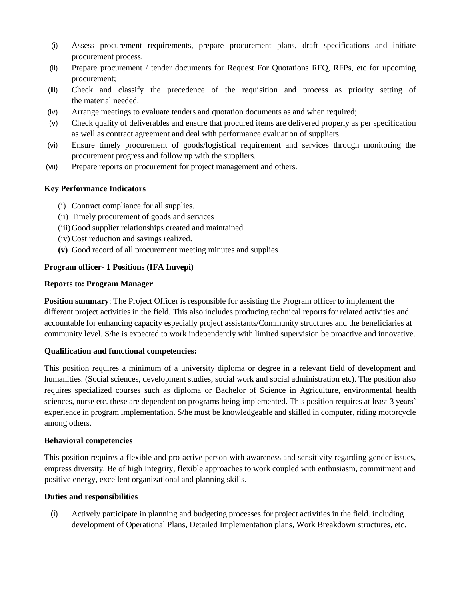- (i) Assess procurement requirements, prepare procurement plans, draft specifications and initiate procurement process.
- (ii) Prepare procurement / tender documents for Request For Quotations RFQ, RFPs, etc for upcoming procurement;
- (iii) Check and classify the precedence of the requisition and process as priority setting of the material needed.
- (iv) Arrange meetings to evaluate tenders and quotation documents as and when required;
- (v) Check quality of deliverables and ensure that procured items are delivered properly as per specification as well as contract agreement and deal with performance evaluation of suppliers.
- (vi) Ensure timely procurement of goods/logistical requirement and services through monitoring the procurement progress and follow up with the suppliers.
- (vii) Prepare reports on procurement for project management and others.

## **Key Performance Indicators**

- (i) Contract compliance for all supplies.
- (ii) Timely procurement of goods and services
- (iii)Good supplier relationships created and maintained.
- (iv) Cost reduction and savings realized.
- **(v)** Good record of all procurement meeting minutes and supplies

## **Program officer- 1 Positions (IFA Imvepi)**

#### **Reports to: Program Manager**

**Position summary:** The Project Officer is responsible for assisting the Program officer to implement the different project activities in the field. This also includes producing technical reports for related activities and accountable for enhancing capacity especially project assistants/Community structures and the beneficiaries at community level. S/he is expected to work independently with limited supervision be proactive and innovative.

#### **Qualification and functional competencies:**

This position requires a minimum of a university diploma or degree in a relevant field of development and humanities. (Social sciences, development studies, social work and social administration etc). The position also requires specialized courses such as diploma or Bachelor of Science in Agriculture, environmental health sciences, nurse etc. these are dependent on programs being implemented. This position requires at least 3 years' experience in program implementation. S/he must be knowledgeable and skilled in computer, riding motorcycle among others.

#### **Behavioral competencies**

This position requires a flexible and pro-active person with awareness and sensitivity regarding gender issues, empress diversity. Be of high Integrity, flexible approaches to work coupled with enthusiasm, commitment and positive energy, excellent organizational and planning skills.

#### **Duties and responsibilities**

(i) Actively participate in planning and budgeting processes for project activities in the field. including development of Operational Plans, Detailed Implementation plans, Work Breakdown structures, etc.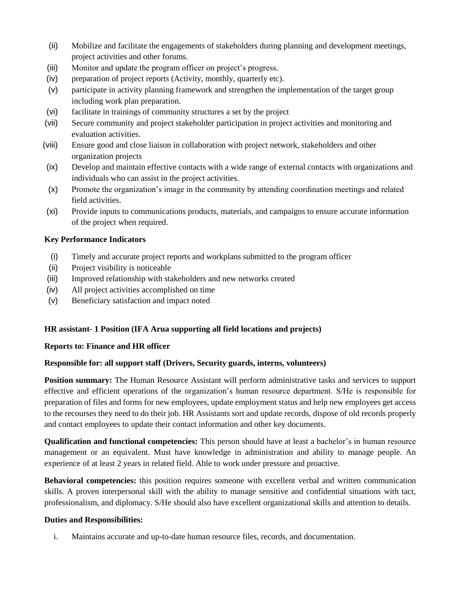- (ii) Mobilize and facilitate the engagements of stakeholders during planning and development meetings, project activities and other forums.
- (iii) Monitor and update the program officer on project's progress.
- (iv) preparation of project reports (Activity, monthly, quarterly etc).
- (v) participate in activity planning framework and strengthen the implementation of the target group including work plan preparation.
- (vi) facilitate in trainings of community structures a set by the project
- (vii) Secure community and project stakeholder participation in project activities and monitoring and evaluation activities.
- (viii) Ensure good and close liaison in collaboration with project network, stakeholders and other organization projects
- (ix) Develop and maintain effective contacts with a wide range of external contacts with organizations and individuals who can assist in the project activities.
- (x) Promote the organization's image in the community by attending coordination meetings and related field activities.
- (xi) Provide inputs to communications products, materials, and campaigns to ensure accurate information of the project when required.

## **Key Performance Indicators**

- (i) Timely and accurate project reports and workplans submitted to the program officer
- (ii) Project visibility is noticeable
- (iii) Improved relationship with stakeholders and new networks created
- (iv) All project activities accomplished on time
- (v) Beneficiary satisfaction and impact noted

## **HR assistant- 1 Position (IFA Arua supporting all field locations and projects)**

#### **Reports to: Finance and HR officer**

#### **Responsible for: all support staff (Drivers, Security guards, interns, volunteers)**

**Position summary:** The Human Resource Assistant will perform administrative tasks and services to support effective and efficient operations of the organization's human resource department. S/He is responsible for preparation of files and forms for new employees, update employment status and help new employees get access to the recourses they need to do their job. HR Assistants sort and update records, dispose of old records properly and contact employees to update their contact information and other key documents.

**Qualification and functional competencies:** This person should have at least a bachelor's in human resource management or an equivalent. Must have knowledge in administration and ability to manage people. An experience of at least 2 years in related field. Able to work under pressure and proactive.

**Behavioral competencies:** this position requires someone with excellent verbal and written communication skills. A proven interpersonal skill with the ability to manage sensitive and confidential situations with tact, professionalism, and diplomacy. S/He should also have excellent organizational skills and attention to details.

#### **Duties and Responsibilities:**

i. Maintains accurate and up-to-date human resource files, records, and documentation.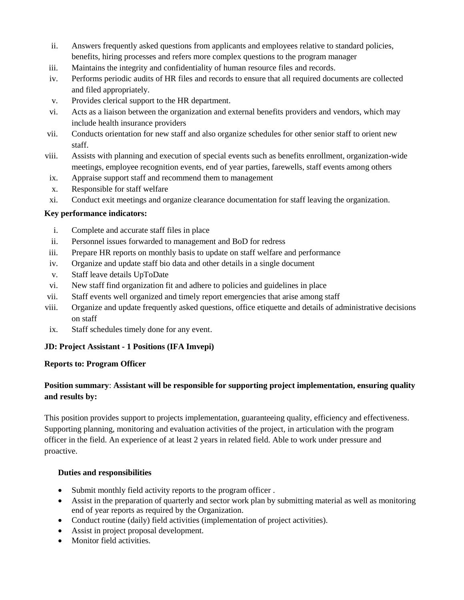- ii. Answers frequently asked questions from applicants and employees relative to standard policies, benefits, hiring processes and refers more complex questions to the program manager
- iii. Maintains the integrity and confidentiality of human resource files and records.
- iv. Performs periodic audits of HR files and records to ensure that all required documents are collected and filed appropriately.
- v. Provides clerical support to the HR department.
- vi. Acts as a liaison between the organization and external benefits providers and vendors, which may include health insurance providers
- vii. Conducts orientation for new staff and also organize schedules for other senior staff to orient new staff.
- viii. Assists with planning and execution of special events such as benefits enrollment, organization-wide meetings, employee recognition events, end of year parties, farewells, staff events among others
- ix. Appraise support staff and recommend them to management
- x. Responsible for staff welfare
- xi. Conduct exit meetings and organize clearance documentation for staff leaving the organization.

## **Key performance indicators:**

- i. Complete and accurate staff files in place
- ii. Personnel issues forwarded to management and BoD for redress
- iii. Prepare HR reports on monthly basis to update on staff welfare and performance
- iv. Organize and update staff bio data and other details in a single document
- v. Staff leave details UpToDate
- vi. New staff find organization fit and adhere to policies and guidelines in place
- vii. Staff events well organized and timely report emergencies that arise among staff
- viii. Organize and update frequently asked questions, office etiquette and details of administrative decisions on staff
- ix. Staff schedules timely done for any event.

## **JD: Project Assistant - 1 Positions (IFA Imvepi)**

## **Reports to: Program Officer**

## **Position summary**: **Assistant will be responsible for supporting project implementation, ensuring quality and results by:**

This position provides support to projects implementation, guaranteeing quality, efficiency and effectiveness. Supporting planning, monitoring and evaluation activities of the project, in articulation with the program officer in the field. An experience of at least 2 years in related field. Able to work under pressure and proactive.

## **Duties and responsibilities**

- Submit monthly field activity reports to the program officer.
- Assist in the preparation of quarterly and sector work plan by submitting material as well as monitoring end of year reports as required by the Organization.
- Conduct routine (daily) field activities (implementation of project activities).
- Assist in project proposal development.
- Monitor field activities.